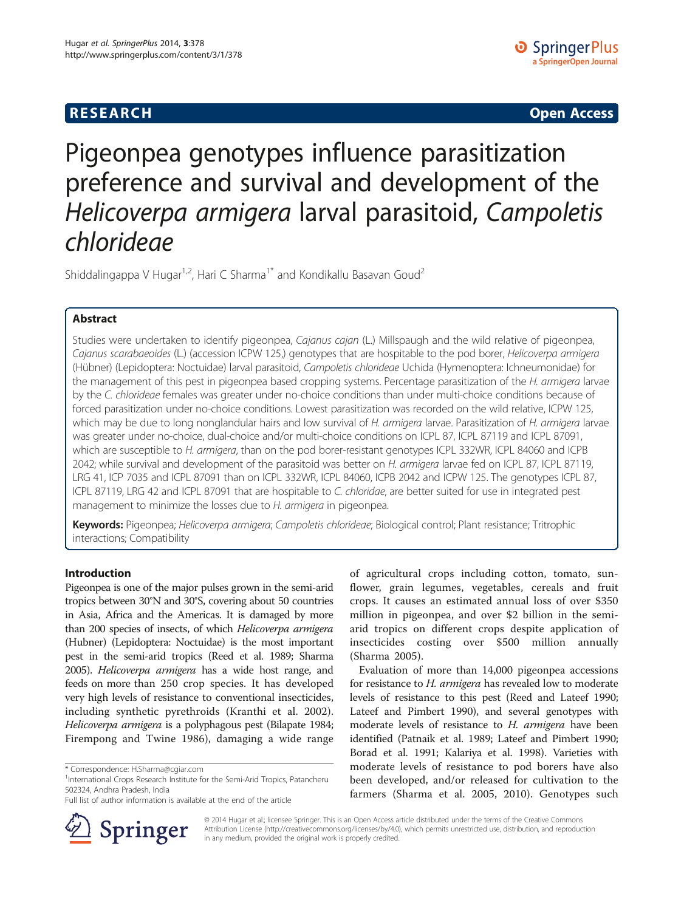# **RESEARCH CHINESE ARCH CHINESE ARCH CHINESE ARCH <b>CHINESE ARCH**

# Pigeonpea genotypes influence parasitization preference and survival and development of the Helicoverpa armigera larval parasitoid, Campoletis chlorideae

Shiddalingappa V Hugar<sup>1,2</sup>, Hari C Sharma<sup>1\*</sup> and Kondikallu Basavan Goud<sup>2</sup>

# Abstract

Studies were undertaken to identify pigeonpea, Cajanus cajan (L.) Millspaugh and the wild relative of pigeonpea, Cajanus scarabaeoides (L.) (accession ICPW 125,) genotypes that are hospitable to the pod borer, Helicoverpa armigera (Hübner) (Lepidoptera: Noctuidae) larval parasitoid, Campoletis chlorideae Uchida (Hymenoptera: Ichneumonidae) for the management of this pest in pigeonpea based cropping systems. Percentage parasitization of the H. armigera larvae by the C. chlorideae females was greater under no-choice conditions than under multi-choice conditions because of forced parasitization under no-choice conditions. Lowest parasitization was recorded on the wild relative, ICPW 125, which may be due to long nonglandular hairs and low survival of H. armigera larvae. Parasitization of H. armigera larvae was greater under no-choice, dual-choice and/or multi-choice conditions on ICPL 87, ICPL 87119 and ICPL 87091, which are susceptible to H. armigera, than on the pod borer-resistant genotypes ICPL 332WR, ICPL 84060 and ICPB 2042; while survival and development of the parasitoid was better on H. armigera larvae fed on ICPL 87, ICPL 87119, LRG 41, ICP 7035 and ICPL 87091 than on ICPL 332WR, ICPL 84060, ICPB 2042 and ICPW 125. The genotypes ICPL 87, ICPL 87119, LRG 42 and ICPL 87091 that are hospitable to C. chloridae, are better suited for use in integrated pest management to minimize the losses due to H. armigera in pigeonpea.

Keywords: Pigeonpea; Helicoverpa armigera; Campoletis chlorideae; Biological control; Plant resistance; Tritrophic interactions; Compatibility

# Introduction

Pigeonpea is one of the major pulses grown in the semi-arid tropics between 30°N and 30°S, covering about 50 countries in Asia, Africa and the Americas. It is damaged by more than 200 species of insects, of which Helicoverpa armigera (Hubner) (Lepidoptera: Noctuidae) is the most important pest in the semi-arid tropics (Reed et al. [1989](#page-6-0); Sharma [2005](#page-7-0)). Helicoverpa armigera has a wide host range, and feeds on more than 250 crop species. It has developed very high levels of resistance to conventional insecticides, including synthetic pyrethroids (Kranthi et al. [2002](#page-6-0)). Helicoverpa armigera is a polyphagous pest (Bilapate [1984](#page-6-0); Firempong and Twine [1986](#page-6-0)), damaging a wide range

Full list of author information is available at the end of the article



of agricultural crops including cotton, tomato, sunflower, grain legumes, vegetables, cereals and fruit crops. It causes an estimated annual loss of over \$350 million in pigeonpea, and over \$2 billion in the semiarid tropics on different crops despite application of insecticides costing over \$500 million annually (Sharma [2005](#page-7-0)).

Evaluation of more than 14,000 pigeonpea accessions for resistance to H. armigera has revealed low to moderate levels of resistance to this pest (Reed and Lateef [1990](#page-6-0); Lateef and Pimbert [1990\)](#page-6-0), and several genotypes with moderate levels of resistance to H. armigera have been identified (Patnaik et al. [1989](#page-6-0); Lateef and Pimbert [1990](#page-6-0); Borad et al. [1991;](#page-6-0) Kalariya et al. [1998\)](#page-6-0). Varieties with moderate levels of resistance to pod borers have also been developed, and/or released for cultivation to the farmers (Sharma et al. [2005, 2010\)](#page-7-0). Genotypes such

© 2014 Hugar et al.; licensee Springer. This is an Open Access article distributed under the terms of the Creative Commons Attribution License [\(http://creativecommons.org/licenses/by/4.0\)](http://creativecommons.org/licenses/by/4.0), which permits unrestricted use, distribution, and reproduction in any medium, provided the original work is properly credited.

<sup>\*</sup> Correspondence: [H.Sharma@cgiar.com](mailto:H.Sharma@cgiar.com) <sup>1</sup>

<sup>&</sup>lt;sup>1</sup>International Crops Research Institute for the Semi-Arid Tropics, Patancheru 502324, Andhra Pradesh, India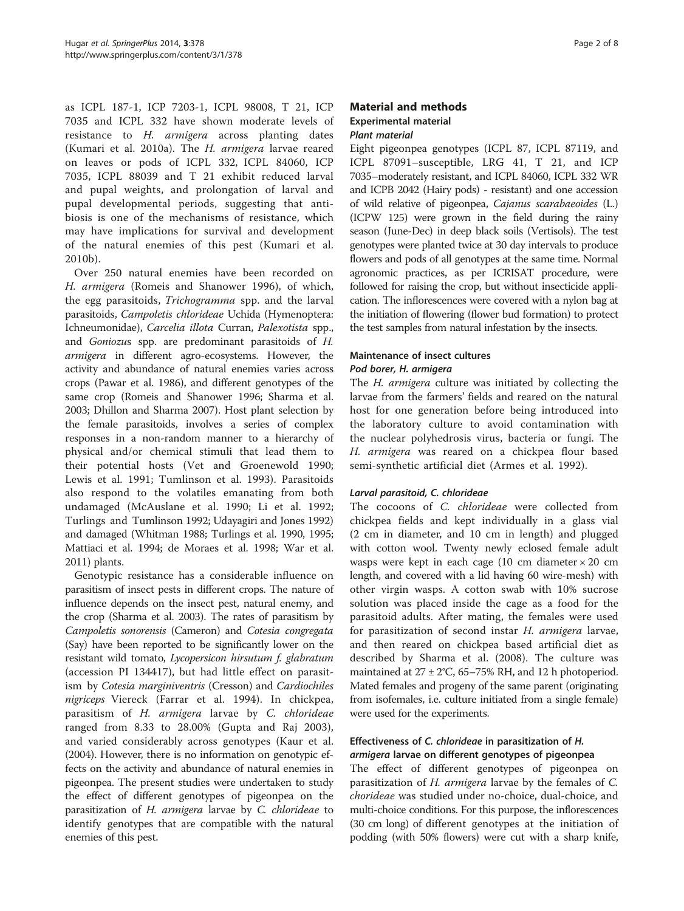as ICPL 187-1, ICP 7203-1, ICPL 98008, T 21, ICP 7035 and ICPL 332 have shown moderate levels of resistance to H. armigera across planting dates (Kumari et al. [2010a\)](#page-6-0). The H. armigera larvae reared on leaves or pods of ICPL 332, ICPL 84060, ICP 7035, ICPL 88039 and T 21 exhibit reduced larval and pupal weights, and prolongation of larval and pupal developmental periods, suggesting that antibiosis is one of the mechanisms of resistance, which may have implications for survival and development of the natural enemies of this pest (Kumari et al. [2010b](#page-6-0)).

Over 250 natural enemies have been recorded on H. armigera (Romeis and Shanower [1996\)](#page-6-0), of which, the egg parasitoids, Trichogramma spp. and the larval parasitoids, Campoletis chlorideae Uchida (Hymenoptera: Ichneumonidae), Carcelia illota Curran, Palexotista spp., and Goniozus spp. are predominant parasitoids of H. armigera in different agro-ecosystems. However, the activity and abundance of natural enemies varies across crops (Pawar et al. [1986](#page-6-0)), and different genotypes of the same crop (Romeis and Shanower [1996;](#page-6-0) Sharma et al. [2003;](#page-7-0) Dhillon and Sharma [2007\)](#page-6-0). Host plant selection by the female parasitoids, involves a series of complex responses in a non-random manner to a hierarchy of physical and/or chemical stimuli that lead them to their potential hosts (Vet and Groenewold [1990](#page-7-0); Lewis et al. [1991](#page-6-0); Tumlinson et al. [1993](#page-7-0)). Parasitoids also respond to the volatiles emanating from both undamaged (McAuslane et al. [1990;](#page-6-0) Li et al. [1992](#page-6-0); Turlings and Tumlinson [1992](#page-7-0); Udayagiri and Jones [1992](#page-7-0)) and damaged (Whitman [1988](#page-7-0); Turlings et al. [1990, 1995](#page-7-0); Mattiaci et al. [1994](#page-6-0); de Moraes et al. [1998](#page-6-0); War et al. [2011\)](#page-7-0) plants.

Genotypic resistance has a considerable influence on parasitism of insect pests in different crops. The nature of influence depends on the insect pest, natural enemy, and the crop (Sharma et al. [2003](#page-7-0)). The rates of parasitism by Campoletis sonorensis (Cameron) and Cotesia congregata (Say) have been reported to be significantly lower on the resistant wild tomato, Lycopersicon hirsutum f. glabratum (accession PI 134417), but had little effect on parasitism by Cotesia marginiventris (Cresson) and Cardiochiles nigriceps Viereck (Farrar et al. [1994](#page-6-0)). In chickpea, parasitism of H. armigera larvae by C. chlorideae ranged from 8.33 to 28.00% (Gupta and Raj [2003](#page-6-0)), and varied considerably across genotypes (Kaur et al. ([2004](#page-6-0)). However, there is no information on genotypic effects on the activity and abundance of natural enemies in pigeonpea. The present studies were undertaken to study the effect of different genotypes of pigeonpea on the parasitization of H. armigera larvae by C. chlorideae to identify genotypes that are compatible with the natural enemies of this pest.

# Material and methods Experimental material Plant material

Eight pigeonpea genotypes (ICPL 87, ICPL 87119, and ICPL 87091–susceptible, LRG 41, T 21, and ICP 7035–moderately resistant, and ICPL 84060, ICPL 332 WR and ICPB 2042 (Hairy pods) - resistant) and one accession of wild relative of pigeonpea, Cajanus scarabaeoides (L.) (ICPW 125) were grown in the field during the rainy season (June-Dec) in deep black soils (Vertisols). The test genotypes were planted twice at 30 day intervals to produce flowers and pods of all genotypes at the same time. Normal agronomic practices, as per ICRISAT procedure, were followed for raising the crop, but without insecticide application. The inflorescences were covered with a nylon bag at the initiation of flowering (flower bud formation) to protect the test samples from natural infestation by the insects.

# Maintenance of insect cultures

# Pod borer, H. armigera

The *H. armigera* culture was initiated by collecting the larvae from the farmers' fields and reared on the natural host for one generation before being introduced into the laboratory culture to avoid contamination with the nuclear polyhedrosis virus, bacteria or fungi. The H. armigera was reared on a chickpea flour based semi-synthetic artificial diet (Armes et al. [1992](#page-6-0)).

# Larval parasitoid, C. chlorideae

The cocoons of C. chlorideae were collected from chickpea fields and kept individually in a glass vial (2 cm in diameter, and 10 cm in length) and plugged with cotton wool. Twenty newly eclosed female adult wasps were kept in each cage  $(10 \text{ cm diameter} \times 20 \text{ cm})$ length, and covered with a lid having 60 wire-mesh) with other virgin wasps. A cotton swab with 10% sucrose solution was placed inside the cage as a food for the parasitoid adults. After mating, the females were used for parasitization of second instar H. armigera larvae, and then reared on chickpea based artificial diet as described by Sharma et al. ([2008\)](#page-7-0). The culture was maintained at  $27 \pm 2^{\circ}$ C, 65–75% RH, and 12 h photoperiod. Mated females and progeny of the same parent (originating from isofemales, i.e. culture initiated from a single female) were used for the experiments.

# Effectiveness of C. chlorideae in parasitization of H. armigera larvae on different genotypes of pigeonpea

The effect of different genotypes of pigeonpea on parasitization of *H. armigera* larvae by the females of *C.* chorideae was studied under no-choice, dual-choice, and multi-choice conditions. For this purpose, the inflorescences (30 cm long) of different genotypes at the initiation of podding (with 50% flowers) were cut with a sharp knife,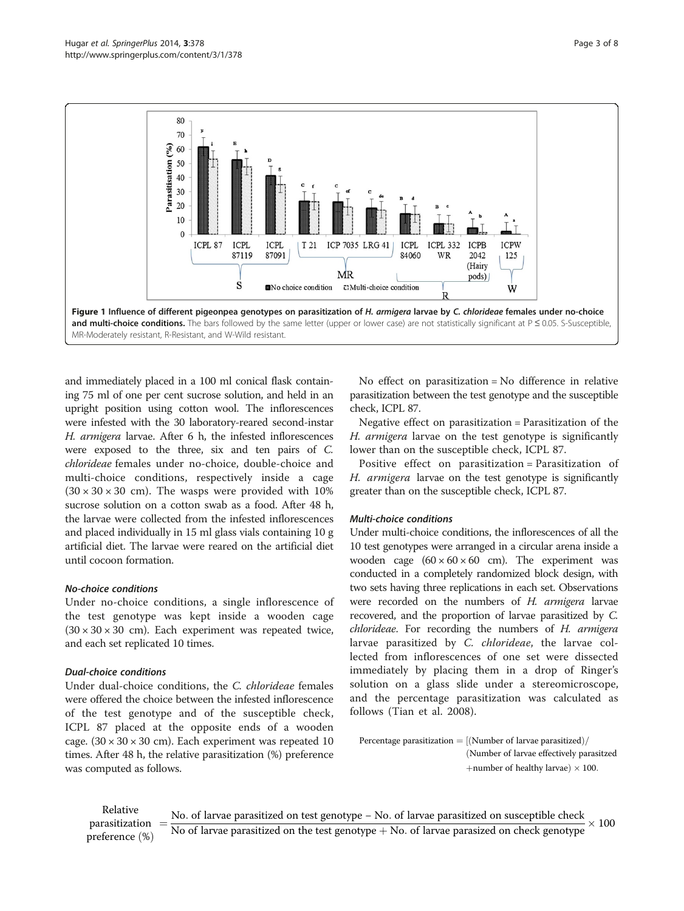<span id="page-2-0"></span>

and immediately placed in a 100 ml conical flask containing 75 ml of one per cent sucrose solution, and held in an upright position using cotton wool. The inflorescences were infested with the 30 laboratory-reared second-instar H. armigera larvae. After 6 h, the infested inflorescences were exposed to the three, six and ten pairs of C. chlorideae females under no-choice, double-choice and multi-choice conditions, respectively inside a cage  $(30 \times 30 \times 30 \text{ cm})$ . The wasps were provided with 10% sucrose solution on a cotton swab as a food. After 48 h, the larvae were collected from the infested inflorescences and placed individually in 15 ml glass vials containing 10 g artificial diet. The larvae were reared on the artificial diet until cocoon formation.

# No-choice conditions

Under no-choice conditions, a single inflorescence of the test genotype was kept inside a wooden cage  $(30 \times 30 \times 30 \text{ cm})$ . Each experiment was repeated twice, and each set replicated 10 times.

# Dual-choice conditions

Under dual-choice conditions, the C. chlorideae females were offered the choice between the infested inflorescence of the test genotype and of the susceptible check, ICPL 87 placed at the opposite ends of a wooden cage.  $(30 \times 30 \times 30 \text{ cm})$ . Each experiment was repeated 10 times. After 48 h, the relative parasitization (%) preference was computed as follows.

No effect on parasitization = No difference in relative parasitization between the test genotype and the susceptible check, ICPL 87.

Negative effect on parasitization = Parasitization of the H. armigera larvae on the test genotype is significantly lower than on the susceptible check, ICPL 87.

Positive effect on parasitization = Parasitization of H. armigera larvae on the test genotype is significantly greater than on the susceptible check, ICPL 87.

# Multi-choice conditions

Under multi-choice conditions, the inflorescences of all the 10 test genotypes were arranged in a circular arena inside a wooden cage  $(60 \times 60 \times 60$  cm). The experiment was conducted in a completely randomized block design, with two sets having three replications in each set. Observations were recorded on the numbers of H. armigera larvae recovered, and the proportion of larvae parasitized by C. chlorideae. For recording the numbers of H. armigera larvae parasitized by C. chlorideae, the larvae collected from inflorescences of one set were dissected immediately by placing them in a drop of Ringer's solution on a glass slide under a stereomicroscope, and the percentage parasitization was calculated as follows (Tian et al. [2008\)](#page-7-0).

Percentage parasitization  $=$  [(Number of larvae parasitized)/ (Number of larvae effectively parasitzed +number of healthy larvae)  $\times$  100.

Relative parasitization preference  $(\%)$ No. of larvae parasitized on test genotype – No. of larvae parasitized on susceptible check No of larvae parasitized on the test genotype  $+$  No. of larvae parasized on check genotype  $\times$  100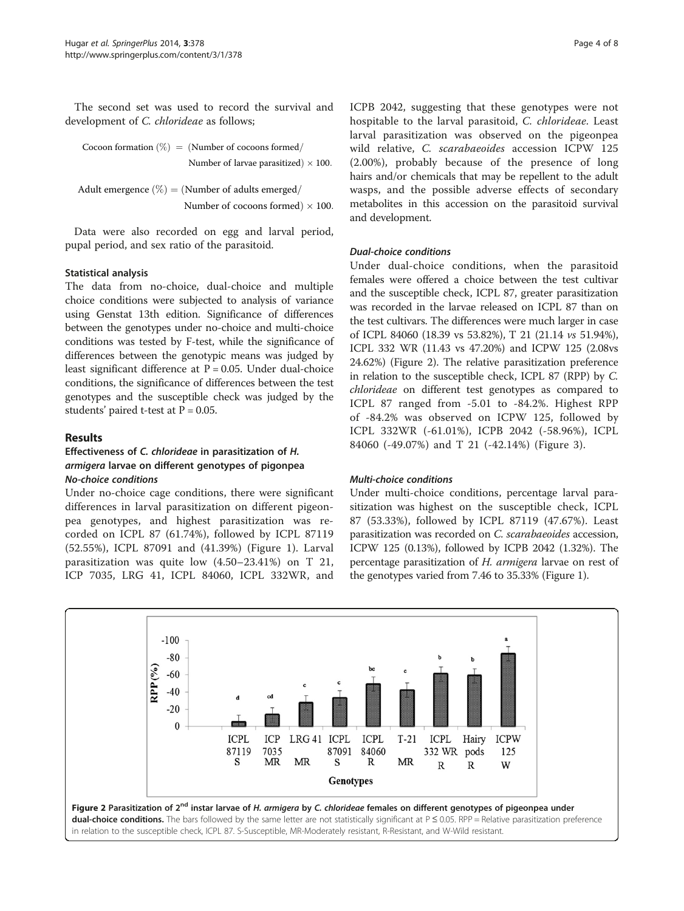The second set was used to record the survival and development of C. chlorideae as follows;

Cocoon formation  $(\%) = (\text{Number of cocoons formed}/\text{Cov})$ Number of larvae parasitized)  $\times$  100.

Adult emergence  $(\%)$  = (Number of adults emerged/ Number of cocoons formed $) \times 100$ .

Data were also recorded on egg and larval period, pupal period, and sex ratio of the parasitoid.

# Statistical analysis

The data from no-choice, dual-choice and multiple choice conditions were subjected to analysis of variance using Genstat 13th edition. Significance of differences between the genotypes under no-choice and multi-choice conditions was tested by F-test, while the significance of differences between the genotypic means was judged by least significant difference at  $P = 0.05$ . Under dual-choice conditions, the significance of differences between the test genotypes and the susceptible check was judged by the students' paired t-test at  $P = 0.05$ .

# Results

# Effectiveness of C. chlorideae in parasitization of H. armigera larvae on different genotypes of pigonpea No-choice conditions

Under no-choice cage conditions, there were significant differences in larval parasitization on different pigeonpea genotypes, and highest parasitization was recorded on ICPL 87 (61.74%), followed by ICPL 87119 (52.55%), ICPL 87091 and (41.39%) (Figure [1](#page-2-0)). Larval parasitization was quite low (4.50–23.41%) on T 21, ICP 7035, LRG 41, ICPL 84060, ICPL 332WR, and ICPB 2042, suggesting that these genotypes were not hospitable to the larval parasitoid, C. chlorideae. Least larval parasitization was observed on the pigeonpea wild relative, C. scarabaeoides accession ICPW 125 (2.00%), probably because of the presence of long hairs and/or chemicals that may be repellent to the adult wasps, and the possible adverse effects of secondary metabolites in this accession on the parasitoid survival and development.

# Dual-choice conditions

Under dual-choice conditions, when the parasitoid females were offered a choice between the test cultivar and the susceptible check, ICPL 87, greater parasitization was recorded in the larvae released on ICPL 87 than on the test cultivars. The differences were much larger in case of ICPL 84060 (18.39 vs 53.82%), T 21 (21.14 vs 51.94%), ICPL 332 WR (11.43 vs 47.20%) and ICPW 125 (2.08vs 24.62%) (Figure 2). The relative parasitization preference in relation to the susceptible check, ICPL 87 (RPP) by C. chlorideae on different test genotypes as compared to ICPL 87 ranged from -5.01 to -84.2%. Highest RPP of -84.2% was observed on ICPW 125, followed by ICPL 332WR (-61.01%), ICPB 2042 (-58.96%), ICPL 84060 (-49.07%) and T 21 (-42.14%) (Figure [3\)](#page-4-0).

# Multi-choice conditions

Under multi-choice conditions, percentage larval parasitization was highest on the susceptible check, ICPL 87 (53.33%), followed by ICPL 87119 (47.67%). Least parasitization was recorded on C. scarabaeoides accession, ICPW 125 (0.13%), followed by ICPB 2042 (1.32%). The percentage parasitization of H. armigera larvae on rest of the genotypes varied from 7.46 to 35.33% (Figure [1\)](#page-2-0).

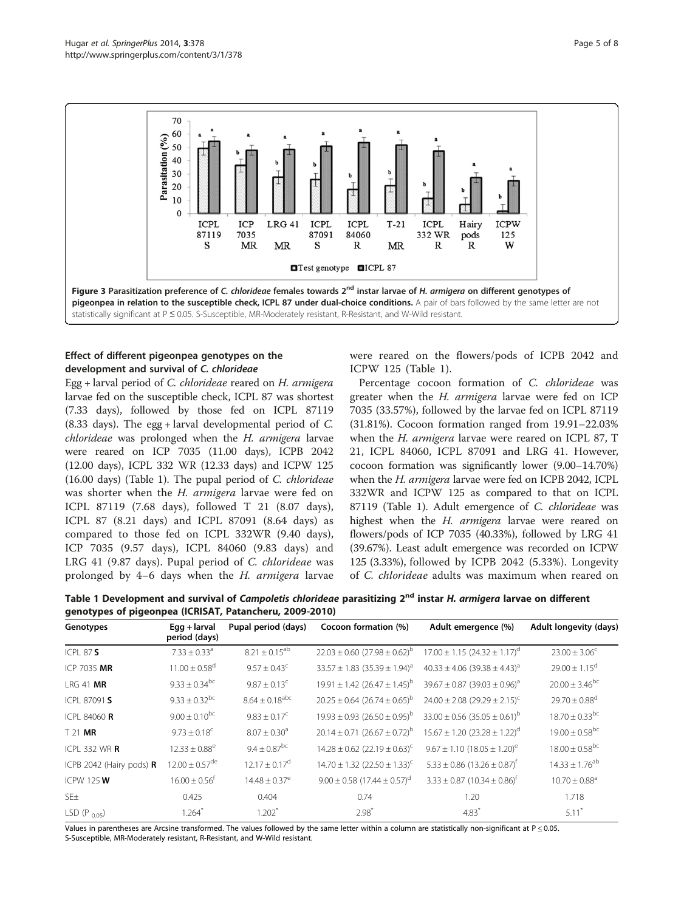<span id="page-4-0"></span>

# Effect of different pigeonpea genotypes on the development and survival of C. chlorideae

Egg + larval period of C. chlorideae reared on H. armigera larvae fed on the susceptible check, ICPL 87 was shortest (7.33 days), followed by those fed on ICPL 87119 (8.33 days). The egg + larval developmental period of C. chlorideae was prolonged when the H. armigera larvae were reared on ICP 7035 (11.00 days), ICPB 2042 (12.00 days), ICPL 332 WR (12.33 days) and ICPW 125 (16.00 days) (Table 1). The pupal period of C. chlorideae was shorter when the H. armigera larvae were fed on ICPL 87119 (7.68 days), followed T 21 (8.07 days), ICPL 87 (8.21 days) and ICPL 87091 (8.64 days) as compared to those fed on ICPL 332WR (9.40 days), ICP 7035 (9.57 days), ICPL 84060 (9.83 days) and LRG 41 (9.87 days). Pupal period of C. chlorideae was prolonged by 4–6 days when the H. armigera larvae were reared on the flowers/pods of ICPB 2042 and ICPW 125 (Table 1).

Percentage cocoon formation of C. chlorideae was greater when the H. armigera larvae were fed on ICP 7035 (33.57%), followed by the larvae fed on ICPL 87119 (31.81%). Cocoon formation ranged from 19.91–22.03% when the H. armigera larvae were reared on ICPL 87, T 21, ICPL 84060, ICPL 87091 and LRG 41. However, cocoon formation was significantly lower (9.00–14.70%) when the H. armigera larvae were fed on ICPB 2042, ICPL 332WR and ICPW 125 as compared to that on ICPL 87119 (Table 1). Adult emergence of C. chlorideae was highest when the H. armigera larvae were reared on flowers/pods of ICP 7035 (40.33%), followed by LRG 41 (39.67%). Least adult emergence was recorded on ICPW 125 (3.33%), followed by ICPB 2042 (5.33%). Longevity of C. chlorideae adults was maximum when reared on

Table 1 Development and survival of Campoletis chlorideae parasitizing 2<sup>nd</sup> instar H. armigera larvae on different genotypes of pigeonpea (ICRISAT, Patancheru, 2009-2010)

| Genotypes                          | $Eqq + larval$<br>period (days) | Pupal period (days)          | Cocoon formation (%)                              | Adult emergence (%)                               | Adult longevity (days)         |
|------------------------------------|---------------------------------|------------------------------|---------------------------------------------------|---------------------------------------------------|--------------------------------|
| ICPI 87S                           | $7.33 \pm 0.33$ <sup>a</sup>    | $8.21 \pm 0.15^{ab}$         | $22.03 \pm 0.60$ (27.98 $\pm$ 0.62) <sup>b</sup>  | $17.00 \pm 1.15$ (24.32 $\pm$ 1.17) <sup>d</sup>  | $23.00 \pm 3.06^{\circ}$       |
| ICP 7035 MR                        | $11.00 \pm 0.58$ <sup>d</sup>   | $9.57 \pm 0.43$ <sup>c</sup> | $33.57 \pm 1.83$ (35.39 $\pm$ 1.94) <sup>a</sup>  | $40.33 \pm 4.06$ (39.38 $\pm 4.43$ ) <sup>a</sup> | $29.00 \pm 1.15^{\circ}$       |
| $LRG$ 41 MR                        | $9.33 \pm 0.34$ <sup>bc</sup>   | $9.87 \pm 0.13$ <sup>c</sup> | $19.91 \pm 1.42$ (26.47 $\pm 1.45$ ) <sup>b</sup> | $39.67 \pm 0.87$ (39.03 $\pm$ 0.96) <sup>a</sup>  | $20.00 \pm 3.46^{bc}$          |
| ICPL 87091 S                       | $9.33 \pm 0.32^{bc}$            | $8.64 \pm 0.18^{\rm abc}$    | $20.25 \pm 0.64$ (26.74 $\pm$ 0.65) <sup>b</sup>  | $24.00 \pm 2.08$ (29.29 $\pm$ 2.15) <sup>c</sup>  | $29.70 \pm 0.88$ <sup>d</sup>  |
| ICPL 84060 <b>R</b>                | $9.00 \pm 0.10^{bc}$            | $9.83 \pm 0.17^{\circ}$      | $19.93 \pm 0.93$ (26.50 $\pm$ 0.95) <sup>b</sup>  | $33.00 \pm 0.56$ (35.05 $\pm$ 0.61) <sup>b</sup>  | $18.70 \pm 0.33$ <sup>bc</sup> |
| $T$ 21 MR                          | $9.73 \pm 0.18$ <sup>c</sup>    | $8.07 \pm 0.30$ <sup>a</sup> | $20.14 \pm 0.71$ (26.67 $\pm$ 0.72) <sup>b</sup>  | $15.67 \pm 1.20$ (23.28 $\pm$ 1.22) <sup>d</sup>  | $19.00 \pm 0.58^{bc}$          |
| ICPL 332 WR $\,$ R                 | $12.33 \pm 0.88$ <sup>e</sup>   | $9.4 \pm 0.87^{\rm bc}$      | $14.28 \pm 0.62$ (22.19 $\pm$ 0.63) <sup>c</sup>  | $9.67 \pm 1.10$ (18.05 $\pm$ 1.20) <sup>e</sup>   | $18.00 \pm 0.58^{bc}$          |
| ICPB 2042 (Hairy pods) $\mathbf R$ | $12.00 \pm 0.57$ <sup>de</sup>  | $12.17 \pm 0.17^d$           | $14.70 \pm 1.32$ (22.50 $\pm$ 1.33) <sup>c</sup>  | $5.33 \pm 0.86$ (13.26 $\pm$ 0.87) <sup>†</sup>   | $14.33 \pm 1.76^{ab}$          |
| ICPW 125 W                         | $16.00 \pm 0.56^{\dagger}$      | $14.48 + 0.37^e$             | $9.00 \pm 0.58$ (17.44 $\pm$ 0.57) <sup>d</sup>   | $3.33 \pm 0.87$ (10.34 $\pm$ 0.86) <sup>†</sup>   | $10.70 \pm 0.88$ <sup>a</sup>  |
| SE <sub>±</sub>                    | 0.425                           | 0.404                        | 0.74                                              | 1.20                                              | 1.718                          |
| LSD $(P_{0.05})$                   | 1.264                           | $1.202$ <sup>*</sup>         | $2.98^*$                                          | $4.83*$                                           | $5.11*$                        |

Values in parentheses are Arcsine transformed. The values followed by the same letter within a column are statistically non-significant at P ≤ 0.05. S-Susceptible, MR-Moderately resistant, R-Resistant, and W-Wild resistant.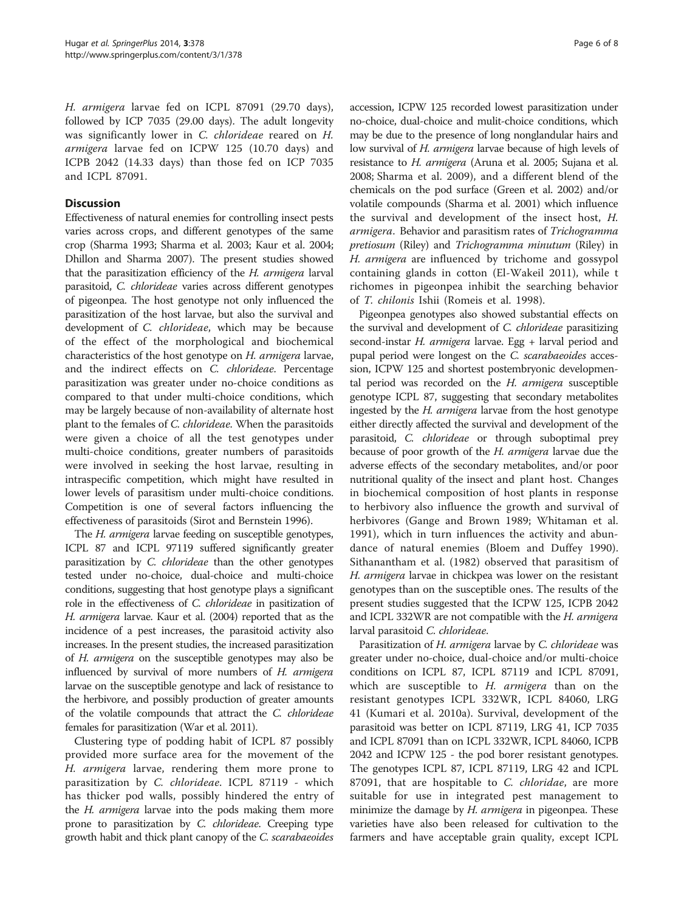H. armigera larvae fed on ICPL 87091 (29.70 days), followed by ICP 7035 (29.00 days). The adult longevity was significantly lower in C. chlorideae reared on H. armigera larvae fed on ICPW 125 (10.70 days) and ICPB 2042 (14.33 days) than those fed on ICP 7035 and ICPL 87091.

# **Discussion**

Effectiveness of natural enemies for controlling insect pests varies across crops, and different genotypes of the same crop (Sharma [1993](#page-7-0); Sharma et al. [2003;](#page-7-0) Kaur et al. [2004](#page-6-0); Dhillon and Sharma [2007](#page-6-0)). The present studies showed that the parasitization efficiency of the H. armigera larval parasitoid, C. chlorideae varies across different genotypes of pigeonpea. The host genotype not only influenced the parasitization of the host larvae, but also the survival and development of C. chlorideae, which may be because of the effect of the morphological and biochemical characteristics of the host genotype on H. armigera larvae, and the indirect effects on C. chlorideae. Percentage parasitization was greater under no-choice conditions as compared to that under multi-choice conditions, which may be largely because of non-availability of alternate host plant to the females of C. chlorideae. When the parasitoids were given a choice of all the test genotypes under multi-choice conditions, greater numbers of parasitoids were involved in seeking the host larvae, resulting in intraspecific competition, which might have resulted in lower levels of parasitism under multi-choice conditions. Competition is one of several factors influencing the effectiveness of parasitoids (Sirot and Bernstein [1996](#page-7-0)).

The H. armigera larvae feeding on susceptible genotypes, ICPL 87 and ICPL 97119 suffered significantly greater parasitization by C. chlorideae than the other genotypes tested under no-choice, dual-choice and multi-choice conditions, suggesting that host genotype plays a significant role in the effectiveness of C. chlorideae in pasitization of H. armigera larvae. Kaur et al. [\(2004](#page-6-0)) reported that as the incidence of a pest increases, the parasitoid activity also increases. In the present studies, the increased parasitization of H. armigera on the susceptible genotypes may also be influenced by survival of more numbers of H. armigera larvae on the susceptible genotype and lack of resistance to the herbivore, and possibly production of greater amounts of the volatile compounds that attract the C. chlorideae females for parasitization (War et al. [2011](#page-7-0)).

Clustering type of podding habit of ICPL 87 possibly provided more surface area for the movement of the H. armigera larvae, rendering them more prone to parasitization by C. chlorideae. ICPL 87119 - which has thicker pod walls, possibly hindered the entry of the *H. armigera* larvae into the pods making them more prone to parasitization by C. chlorideae. Creeping type growth habit and thick plant canopy of the C. scarabaeoides

accession, ICPW 125 recorded lowest parasitization under no-choice, dual-choice and mulit-choice conditions, which may be due to the presence of long nonglandular hairs and low survival of H. armigera larvae because of high levels of resistance to H. armigera (Aruna et al. [2005;](#page-6-0) Sujana et al. [2008;](#page-7-0) Sharma et al. [2009](#page-7-0)), and a different blend of the chemicals on the pod surface (Green et al. [2002\)](#page-6-0) and/or volatile compounds (Sharma et al. [2001\)](#page-7-0) which influence the survival and development of the insect host, H. armigera. Behavior and parasitism rates of Trichogramma pretiosum (Riley) and Trichogramma minutum (Riley) in H. armigera are influenced by trichome and gossypol containing glands in cotton (El-Wakeil [2011](#page-6-0)), while t richomes in pigeonpea inhibit the searching behavior of T. chilonis Ishii (Romeis et al. [1998](#page-6-0)).

Pigeonpea genotypes also showed substantial effects on the survival and development of C. chlorideae parasitizing second-instar H. armigera larvae. Egg + larval period and pupal period were longest on the C. scarabaeoides accession, ICPW 125 and shortest postembryonic developmental period was recorded on the  $H$ . armigera susceptible genotype ICPL 87, suggesting that secondary metabolites ingested by the H. armigera larvae from the host genotype either directly affected the survival and development of the parasitoid, C. chlorideae or through suboptimal prey because of poor growth of the H. armigera larvae due the adverse effects of the secondary metabolites, and/or poor nutritional quality of the insect and plant host. Changes in biochemical composition of host plants in response to herbivory also influence the growth and survival of herbivores (Gange and Brown [1989](#page-6-0); Whitaman et al. [1991\)](#page-7-0), which in turn influences the activity and abundance of natural enemies (Bloem and Duffey [1990](#page-6-0)). Sithanantham et al. ([1982\)](#page-7-0) observed that parasitism of H. armigera larvae in chickpea was lower on the resistant genotypes than on the susceptible ones. The results of the present studies suggested that the ICPW 125, ICPB 2042 and ICPL 332WR are not compatible with the H. armigera larval parasitoid C. chlorideae.

Parasitization of H. armigera larvae by C. chlorideae was greater under no-choice, dual-choice and/or multi-choice conditions on ICPL 87, ICPL 87119 and ICPL 87091, which are susceptible to  $H$ . armigera than on the resistant genotypes ICPL 332WR, ICPL 84060, LRG 41 (Kumari et al. [2010a\)](#page-6-0). Survival, development of the parasitoid was better on ICPL 87119, LRG 41, ICP 7035 and ICPL 87091 than on ICPL 332WR, ICPL 84060, ICPB 2042 and ICPW 125 - the pod borer resistant genotypes. The genotypes ICPL 87, ICPL 87119, LRG 42 and ICPL 87091, that are hospitable to C. chloridae, are more suitable for use in integrated pest management to minimize the damage by *H. armigera* in pigeonpea. These varieties have also been released for cultivation to the farmers and have acceptable grain quality, except ICPL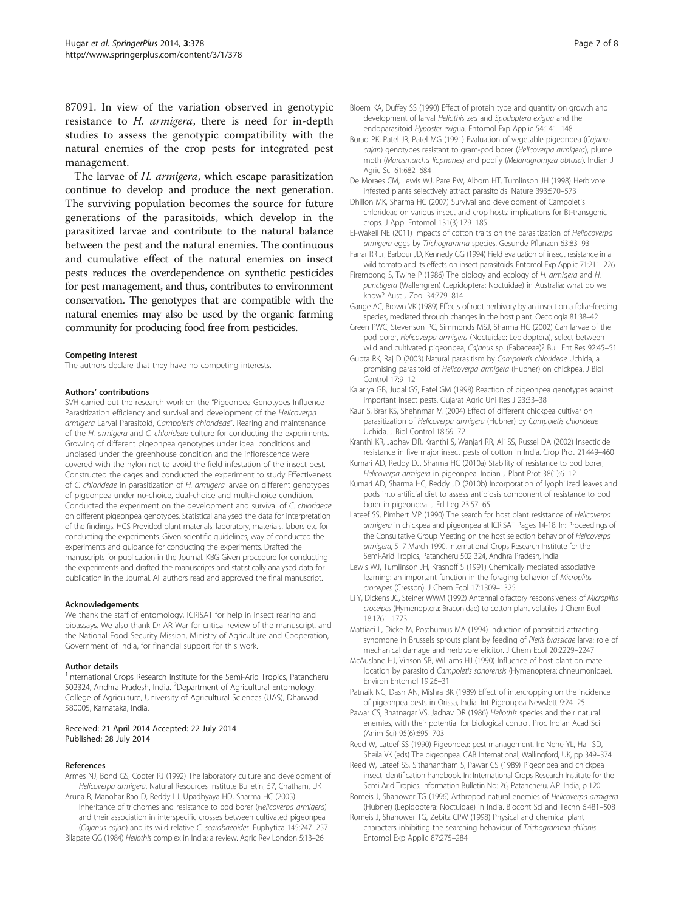<span id="page-6-0"></span>87091. In view of the variation observed in genotypic resistance to H. armigera, there is need for in-depth studies to assess the genotypic compatibility with the natural enemies of the crop pests for integrated pest management.

The larvae of H. armigera, which escape parasitization continue to develop and produce the next generation. The surviving population becomes the source for future generations of the parasitoids, which develop in the parasitized larvae and contribute to the natural balance between the pest and the natural enemies. The continuous and cumulative effect of the natural enemies on insect pests reduces the overdependence on synthetic pesticides for pest management, and thus, contributes to environment conservation. The genotypes that are compatible with the natural enemies may also be used by the organic farming community for producing food free from pesticides.

#### Competing interest

The authors declare that they have no competing interests.

### Authors' contributions

SVH carried out the research work on the "Pigeonpea Genotypes Influence Parasitization efficiency and survival and development of the Helicoverpa armigera Larval Parasitoid, Campoletis chlorideae". Rearing and maintenance of the H. armigera and C. chlorideae culture for conducting the experiments. Growing of different pigeonpea genotypes under ideal conditions and unbiased under the greenhouse condition and the inflorescence were covered with the nylon net to avoid the field infestation of the insect pest. Constructed the cages and conducted the experiment to study Effectiveness of C. chlorideae in parasitization of H. armigera larvae on different genotypes of pigeonpea under no-choice, dual-choice and multi-choice condition. Conducted the experiment on the development and survival of C. chlorideae on different pigeonpea genotypes. Statistical analysed the data for interpretation of the findings. HCS Provided plant materials, laboratory, materials, labors etc for conducting the experiments. Given scientific guidelines, way of conducted the experiments and guidance for conducting the experiments. Drafted the manuscripts for publication in the Journal. KBG Given procedure for conducting the experiments and drafted the manuscripts and statistically analysed data for publication in the Journal. All authors read and approved the final manuscript.

#### Acknowledgements

We thank the staff of entomology, ICRISAT for help in insect rearing and bioassays. We also thank Dr AR War for critical review of the manuscript, and the National Food Security Mission, Ministry of Agriculture and Cooperation, Government of India, for financial support for this work.

#### Author details

<sup>1</sup>International Crops Research Institute for the Semi-Arid Tropics, Patancheru 502324, Andhra Pradesh, India. <sup>2</sup>Department of Agricultural Entomology, College of Agriculture, University of Agricultural Sciences (UAS), Dharwad 580005, Karnataka, India.

## Received: 21 April 2014 Accepted: 22 July 2014 Published: 28 July 2014

#### References

- Armes NJ, Bond GS, Cooter RJ (1992) The laboratory culture and development of Helicoverpa armigera. Natural Resources Institute Bulletin, 57, Chatham, UK Aruna R, Manohar Rao D, Reddy LJ, Upadhyaya HD, Sharma HC (2005)
- Inheritance of trichomes and resistance to pod borer (Helicoverpa armigera) and their association in interspecific crosses between cultivated pigeonpea (Cajanus cajan) and its wild relative C. scarabaeoides. Euphytica 145:247–257 Bilapate GG (1984) Heliothis complex in India: a review. Agric Rev London 5:13–26
- Bloem KA, Duffey SS (1990) Effect of protein type and quantity on growth and development of larval Heliothis zea and Spodoptera exigua and the endoparasitoid Hyposter exigua. Entomol Exp Applic 54:141–148
- Borad PK, Patel JR, Patel MG (1991) Evaluation of vegetable pigeonpea (Cajanus cajan) genotypes resistant to gram-pod borer (Helicoverpa armigera), plume moth (Marasmarcha liophanes) and podfly (Melanagromyza obtusa). Indian J Agric Sci 61:682–684
- De Moraes CM, Lewis WJ, Pare PW, Alborn HT, Tumlinson JH (1998) Herbivore infested plants selectively attract parasitoids. Nature 393:570–573
- Dhillon MK, Sharma HC (2007) Survival and development of Campoletis chlorideae on various insect and crop hosts: implications for Bt-transgenic crops. J Appl Entomol 131(3):179–185
- El-Wakeil NE (2011) Impacts of cotton traits on the parasitization of Heliocoverpa armigera eggs by Trichogramma species. Gesunde Pflanzen 63:83–93
- Farrar RR Jr, Barbour JD, Kennedy GG (1994) Field evaluation of insect resistance in a wild tomato and its effects on insect parasitoids. Entomol Exp Applic 71:211–226
- Firempong S, Twine P (1986) The biology and ecology of H. armigera and H. punctigera (Wallengren) (Lepidoptera: Noctuidae) in Australia: what do we know? Aust J Zool 34:779–814
- Gange AC, Brown VK (1989) Effects of root herbivory by an insect on a foliar-feeding species, mediated through changes in the host plant. Oecologia 81:38–42
- Green PWC, Stevenson PC, Simmonds MSJ, Sharma HC (2002) Can larvae of the pod borer, Helicoverpa armigera (Noctuidae: Lepidoptera), select between wild and cultivated pigeonpea, Cajanus sp. (Fabaceae)? Bull Ent Res 92:45–51
- Gupta RK, Raj D (2003) Natural parasitism by Campoletis chlorideae Uchida, a promising parasitoid of Helicoverpa armigera (Hubner) on chickpea. J Biol Control 17:9–12
- Kalariya GB, Judal GS, Patel GM (1998) Reaction of pigeonpea genotypes against important insect pests. Gujarat Agric Uni Res J 23:33–38
- Kaur S, Brar KS, Shehnmar M (2004) Effect of different chickpea cultivar on parasitization of Helicoverpa armigera (Hubner) by Campoletis chlorideae Uchida. J Biol Control 18:69–72
- Kranthi KR, Jadhav DR, Kranthi S, Wanjari RR, Ali SS, Russel DA (2002) Insecticide resistance in five major insect pests of cotton in India. Crop Prot 21:449–460
- Kumari AD, Reddy DJ, Sharma HC (2010a) Stability of resistance to pod borer, Helicoverpa armigera in pigeonpea. Indian J Plant Prot 38(1):6–12
- Kumari AD, Sharma HC, Reddy JD (2010b) Incorporation of lyophilized leaves and pods into artificial diet to assess antibiosis component of resistance to pod borer in pigeonpea. J Fd Leg 23:57–65
- Lateef SS, Pimbert MP (1990) The search for host plant resistance of Helicoverpa armigera in chickpea and pigeonpea at ICRISAT Pages 14-18. In: Proceedings of the Consultative Group Meeting on the host selection behavior of Helicoverpa armigera, 5–7 March 1990. International Crops Research Institute for the Semi-Arid Tropics, Patancheru 502 324, Andhra Pradesh, India
- Lewis WJ, Tumlinson JH, Krasnoff S (1991) Chemically mediated associative learning: an important function in the foraging behavior of Microplitis croceipes (Cresson). J Chem Ecol 17:1309–1325
- Li Y, Dickens JC, Steiner WWM (1992) Antennal olfactory responsiveness of Microplitis croceipes (Hymenoptera: Braconidae) to cotton plant volatiles. J Chem Ecol 18:1761–1773
- Mattiaci L, Dicke M, Posthumus MA (1994) Induction of parasitoid attracting synomone in Brussels sprouts plant by feeding of Pieris brassicae larva: role of mechanical damage and herbivore elicitor. J Chem Ecol 20:2229–2247
- McAuslane HJ, Vinson SB, Williams HJ (1990) Influence of host plant on mate location by parasitoid Campoletis sonorensis (Hymenoptera:Ichneumonidae). Environ Entomol 19:26–31
- Patnaik NC, Dash AN, Mishra BK (1989) Effect of intercropping on the incidence of pigeonpea pests in Orissa, India. Int Pigeonpea Newslett 9:24–25
- Pawar CS, Bhatnagar VS, Jadhav DR (1986) Heliothis species and their natural enemies, with their potential for biological control. Proc Indian Acad Sci (Anim Sci) 95(6):695–703
- Reed W, Lateef SS (1990) Pigeonpea: pest management. In: Nene YL, Hall SD, Sheila VK (eds) The pigeonpea. CAB International, Wallingford, UK, pp 349–374
- Reed W, Lateef SS, Sithanantham S, Pawar CS (1989) Pigeonpea and chickpea insect identification handbook. In: International Crops Research Institute for the Semi Arid Tropics. Information Bulletin No: 26, Patancheru, A.P. India, p 120
- Romeis J, Shanower TG (1996) Arthropod natural enemies of Helicoverpa armigera (Hubner) (Lepidoptera: Noctuidae) in India. Biocont Sci and Techn 6:481–508
- Romeis J, Shanower TG, Zebitz CPW (1998) Physical and chemical plant characters inhibiting the searching behaviour of Trichogramma chilonis. Entomol Exp Applic 87:275–284